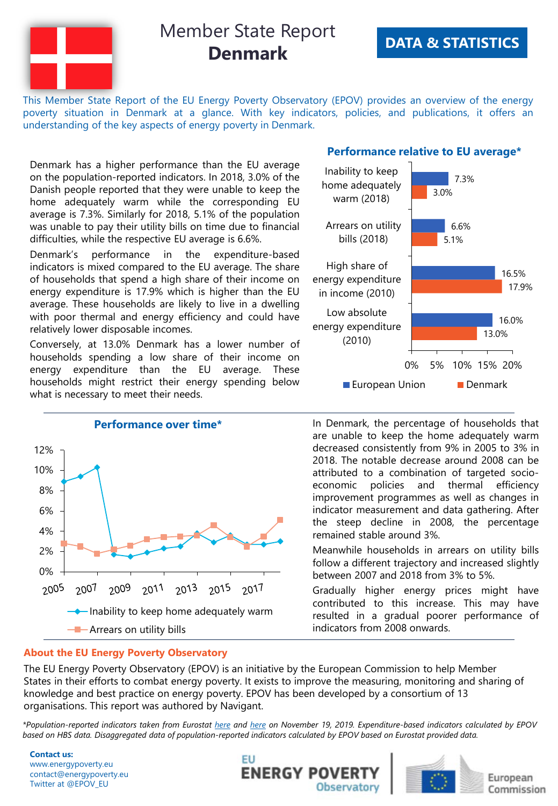

This Member State Report of the EU Energy Poverty Observatory (EPOV) provides an overview of the energy poverty situation in Denmark at a glance. With key indicators, policies, and publications, it offers an understanding of the key aspects of energy poverty in Denmark.

Denmark has a higher performance than the EU average on the population-reported indicators. In 2018, 3.0% of the Danish people reported that they were unable to keep the home adequately warm while the corresponding EU average is 7.3%. Similarly for 2018, 5.1% of the population was unable to pay their utility bills on time due to financial difficulties, while the respective EU average is 6.6%.

Denmark's performance in the expenditure-based indicators is mixed compared to the EU average. The share of households that spend a high share of their income on energy expenditure is 17.9% which is higher than the EU average. These households are likely to live in a dwelling with poor thermal and energy efficiency and could have relatively lower disposable incomes.

Conversely, at 13.0% Denmark has a lower number of households spending a low share of their income on energy expenditure than the EU average. These households might restrict their energy spending below what is necessary to meet their needs.



### **Performance relative to EU average\***



In Denmark, the percentage of households that are unable to keep the home adequately warm decreased consistently from 9% in 2005 to 3% in 2018. The notable decrease around 2008 can be attributed to a combination of targeted socioeconomic policies and thermal efficiency improvement programmes as well as changes in indicator measurement and data gathering. After the steep decline in 2008, the percentage remained stable around 3%.

Meanwhile households in arrears on utility bills follow a different trajectory and increased slightly between 2007 and 2018 from 3% to 5%.

Gradually higher energy prices might have contributed to this increase. This may have resulted in a gradual poorer performance of indicators from 2008 onwards.

#### **About the EU Energy Poverty Observatory**

The EU Energy Poverty Observatory (EPOV) is an initiative by the European Commission to help Member States in their efforts to combat energy poverty. It exists to improve the measuring, monitoring and sharing of knowledge and best practice on energy poverty. EPOV has been developed by a consortium of 13 organisations. This report was authored by Navigant.

\*Population-reported indicators taken from Eurostat [here](http://appsso.eurostat.ec.europa.eu/nui/show.do?dataset=ilc_mdes07&lang=en) and here on November 19, 2019. Expenditure-based indicators calculated by EPOV based on HBS data. Disaggregated data of population-reported indicators calculated by EPOV based on Eurostat provided data.

**Contact us:** www.energypoverty.eu contact@energypoverty.eu Twitter at @EPOV\_EU





European Commission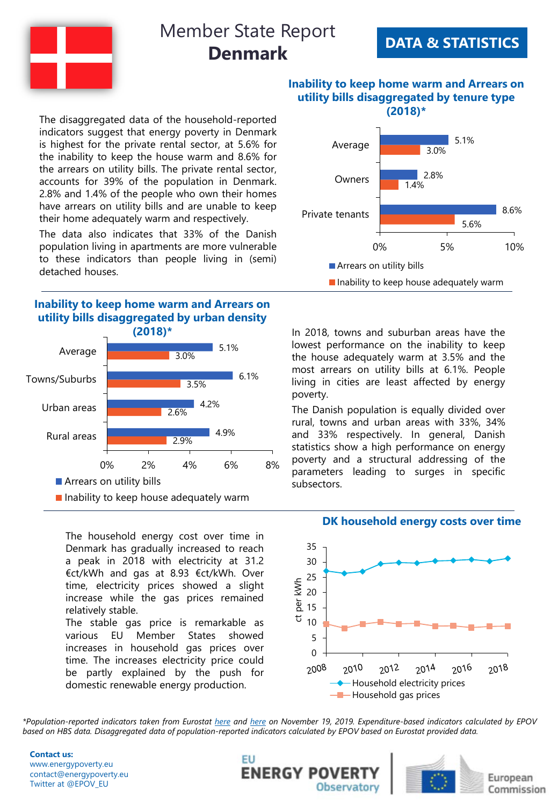

## **DATA & STATISTICS**

**(2018)\*** The disaggregated data of the household-reported indicators suggest that energy poverty in Denmark is highest for the private rental sector, at 5.6% for the inability to keep the house warm and 8.6% for the arrears on utility bills. The private rental sector, accounts for 39% of the population in Denmark. 2.8% and 1.4% of the people who own their homes have arrears on utility bills and are unable to keep their home adequately warm and respectively.

The data also indicates that 33% of the Danish population living in apartments are more vulnerable to these indicators than people living in (semi) detached houses.

## **Inability to keep home warm and Arrears on utility bills disaggregated by urban density**



The household energy cost over time in Denmark has gradually increased to reach a peak in 2018 with electricity at 31.2 €ct/kWh and gas at 8.93 €ct/kWh. Over time, electricity prices showed a slight increase while the gas prices remained relatively stable.

The stable gas price is remarkable as various EU Member States showed increases in household gas prices over time. The increases electricity price could be partly explained by the push for domestic renewable energy production.

## **Inability to keep home warm and Arrears on utility bills disaggregated by tenure type**



In 2018, towns and suburban areas have the lowest performance on the inability to keep the house adequately warm at 3.5% and the most arrears on utility bills at 6.1%. People living in cities are least affected by energy poverty.

The Danish population is equally divided over rural, towns and urban areas with 33%, 34% and 33% respectively. In general, Danish statistics show a high performance on energy poverty and a structural addressing of the parameters leading to surges in specific subsectors.

#### **DK household energy costs over time**



\*Population-reported indicators taken from Eurostat [here](http://appsso.eurostat.ec.europa.eu/nui/show.do?dataset=ilc_mdes07&lang=en) and here on November 19, 2019. Expenditure-based indicators calculated by EPOV based on HBS data. Disaggregated data of population-reported indicators calculated by EPOV based on Eurostat provided data.

**Contact us:** www.energypoverty.eu contact@energypoverty.eu Twitter at @EPOV\_EU





European Commission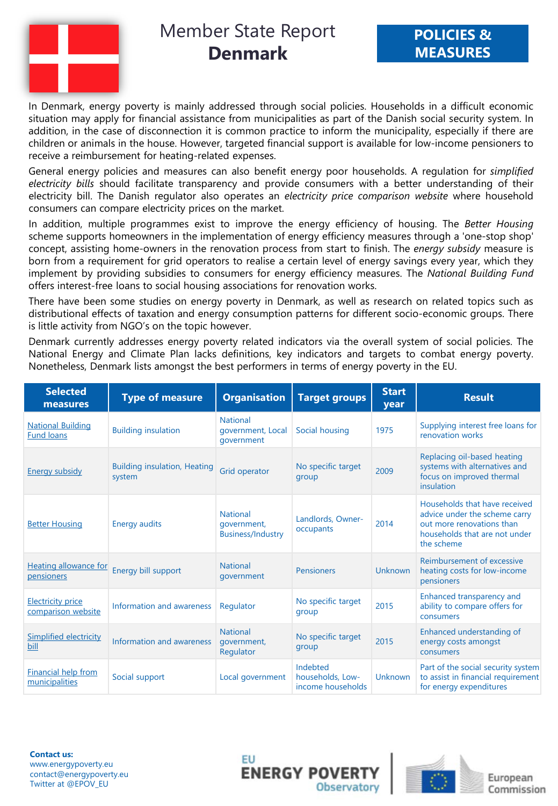

In Denmark, energy poverty is mainly addressed through social policies. Households in a difficult economic situation may apply for financial assistance from municipalities as part of the Danish social security system. In addition, in the case of disconnection it is common practice to inform the municipality, especially if there are children or animals in the house. However, targeted financial support is available for low-income pensioners to receive a reimbursement for heating-related expenses.

General energy policies and measures can also benefit energy poor households. A regulation for *simplified electricity bills* should facilitate transparency and provide consumers with a better understanding of their electricity bill. The Danish regulator also operates an *electricity price comparison website* where household consumers can compare electricity prices on the market.

In addition, multiple programmes exist to improve the energy efficiency of housing. The *Better Housing* scheme supports homeowners in the implementation of energy efficiency measures through a 'one-stop shop' concept, assisting home-owners in the renovation process from start to finish. The *energy subsidy* measure is born from a requirement for grid operators to realise a certain level of energy savings every year, which they implement by providing subsidies to consumers for energy efficiency measures. The *National Building Fund* offers interest-free loans to social housing associations for renovation works.

There have been some studies on energy poverty in Denmark, as well as research on related topics such as distributional effects of taxation and energy consumption patterns for different socio-economic groups. There is little activity from NGO's on the topic however.

Denmark currently addresses energy poverty related indicators via the overall system of social policies. The National Energy and Climate Plan lacks definitions, key indicators and targets to combat energy poverty. Nonetheless, Denmark lists amongst the best performers in terms of energy poverty in the EU.

| <b>Selected</b><br>measures                    | <b>Type of measure</b>                        | <b>Organisation</b>                                        | <b>Target groups</b>                              | <b>Start</b><br>year | <b>Result</b>                                                                                                                              |
|------------------------------------------------|-----------------------------------------------|------------------------------------------------------------|---------------------------------------------------|----------------------|--------------------------------------------------------------------------------------------------------------------------------------------|
| <b>National Building</b><br><b>Fund loans</b>  | <b>Building insulation</b>                    | <b>National</b><br>government, Local<br>government         | Social housing                                    | 1975                 | Supplying interest free loans for<br>renovation works                                                                                      |
| <b>Energy subsidy</b>                          | <b>Building insulation, Heating</b><br>system | Grid operator                                              | No specific target<br>group                       | 2009                 | Replacing oil-based heating<br>systems with alternatives and<br>focus on improved thermal<br>insulation                                    |
| <b>Better Housing</b>                          | <b>Energy audits</b>                          | <b>National</b><br>government,<br><b>Business/Industry</b> | Landlords, Owner-<br>occupants                    | 2014                 | Households that have received<br>advice under the scheme carry<br>out more renovations than<br>households that are not under<br>the scheme |
| <b>Heating allowance for</b><br>pensioners     | Energy bill support                           | <b>National</b><br>government                              | <b>Pensioners</b>                                 | <b>Unknown</b>       | Reimbursement of excessive<br>heating costs for low-income<br>pensioners                                                                   |
| <b>Electricity price</b><br>comparison website | Information and awareness                     | Regulator                                                  | No specific target<br>group                       | 2015                 | Enhanced transparency and<br>ability to compare offers for<br>consumers                                                                    |
| Simplified electricity<br>bill                 | Information and awareness                     | <b>National</b><br>government,<br>Regulator                | No specific target<br>group                       | 2015                 | Enhanced understanding of<br>energy costs amongst<br>consumers                                                                             |
| Financial help from<br>municipalities          | Social support                                | Local government                                           | Indebted<br>households, Low-<br>income households | Unknown              | Part of the social security system<br>to assist in financial requirement<br>for energy expenditures                                        |

**Contact us:** www.energypoverty.eu contact@energypoverty.eu Twitter at @EPOV\_EU





European Commission